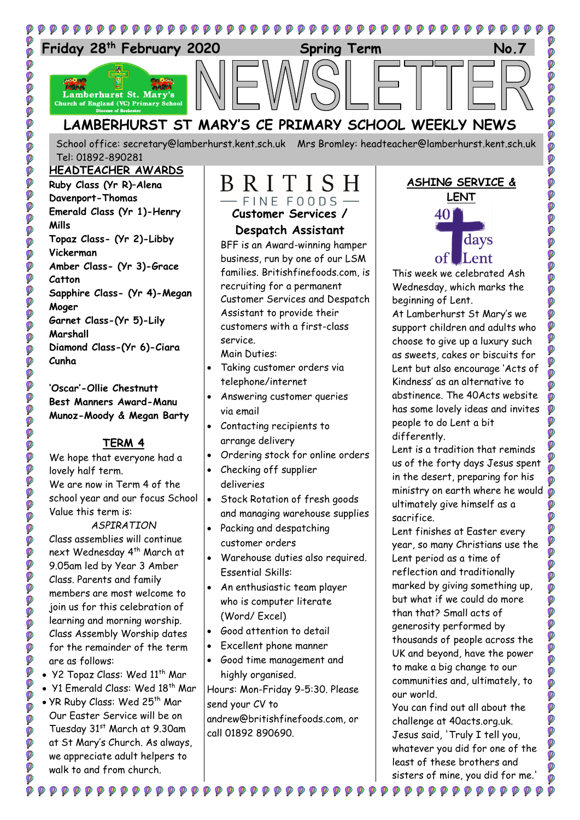

School office: [secretary@lamberhurst.kent.sch.uk](mailto:secretary@lamberhurst.kent.sch.uk) Mrs Bromley: headteacher@lamberhurst.kent.sch.uk Tel: 01892-890281

#### **HEADTEACHER AWARDS Ruby Class (Yr R)–Alena Davenport-Thomas Emerald Class (Yr 1)-Henry Mills**

ø

00000

**OCCO** 

**O** 

Ø

Ø ø Ø Ø Ø Ø  $\ddot{\bullet}$ 

DOO

00000

.<br>Ø **O** 

DO

Ø

Ø

ø Ó

ø

Ø Ø

Ø Ø Ø

Ø

Ø Ø Ø

**Topaz Class- (Yr 2)-Libby Vickerman Amber Class- (Yr 3)-Grace Catton Sapphire Class- (Yr 4)-Megan Moger Garnet Class-(Yr 5)-Lily Marshall Diamond Class-(Yr 6)-Ciara Cunha**

**'Oscar'-Ollie Chestnutt Best Manners Award-Manu Munoz-Moody & Megan Barty**

## **TERM 4**

We hope that everyone had a lovely half term. We are now in Term 4 of the school year and our focus School Value this term is:

*ASPIRATION* Class assemblies will continue next Wednesday 4<sup>th</sup> March at 9.05am led by Year 3 Amber Class. Parents and family members are most welcome to join us for this celebration of learning and morning worship. Class Assembly Worship dates for the remainder of the term are as follows:

- Y2 Topaz Class: Wed 11<sup>th</sup> Mar
- Y1 Emerald Class: Wed 18<sup>th</sup> Mar
- YR Ruby Class: Wed 25<sup>th</sup> Mar Our Easter Service will be on Tuesday 31st March at 9.30am at St Mary's Church. As always, we appreciate adult helpers to walk to and from church.

**₽₽₽₽₽₽₽₽₽₽₽** 

## BRITISH  $-$  FINE FOODS  $-$

**Customer Services / Despatch Assistant** BFF is an Award-winning hamper

business, run by one of our LSM families. Britishfinefoods.com, is recruiting for a permanent Customer Services and Despatch Assistant to provide their customers with a first-class service.

Main Duties:

- Taking customer orders via telephone/internet
- Answering customer queries via email
- Contacting recipients to arrange delivery
- Ordering stock for online orders
- Checking off supplier deliveries
- **Stock Rotation of fresh goods** and managing warehouse supplies
- Packing and despatching customer orders
- Warehouse duties also required. Essential Skills:
- An enthusiastic team player who is computer literate (Word/ Excel)
- Good attention to detail
- Excellent phone manner

₽₽₽₽₽₽₽

 Good time management and highly organised.

Hours: Mon-Friday 9-5:30. Please send your CV to andrew@britishfinefoods.com, or call 01892 890690.

## **ASHING SERVICE &**

Ø Ø Ø

ø

Ø

Ø

Ø Ó

Ø

Ø

Ø Ø

Ø

Ø

Ø

Ø

Ø

Ø O

Ø



This week we celebrated Ash Wednesday, which marks the beginning of Lent.

At Lamberhurst St Mary's we support children and adults who choose to give up a luxury such as sweets, cakes or biscuits for Lent but also encourage 'Acts of Kindness' as an alternative to abstinence. The 40Acts website has some lovely ideas and invites people to do Lent a bit differently.

Lent is a tradition that reminds us of the forty days Jesus spent in the desert, preparing for his ministry on earth where he would ultimately give himself as a sacrifice.

Lent finishes at Easter every year, so many Christians use the Lent period as a time of reflection and traditionally marked by giving something up, but what if we could do more than that? Small acts of generosity performed by thousands of people across the UK and beyond, have the power to make a big change to our communities and, ultimately, to our world.

You can find out all about the challenge at 40acts.org.uk. Jesus said, 'Truly I tell you, whatever you did for one of the least of these brothers and sisters of mine, you did for me.'

 $\begin{smallmatrix} \bullet\hspace{0.2cm}&\bullet\hspace{0.2cm}&\bullet\hspace{0.2cm}&\bullet\hspace{0.2cm}&\bullet\hspace{0.2cm}&\bullet\hspace{0.2cm}&\bullet\hspace{0.2cm}&\bullet\hspace{0.2cm}&\bullet\hspace{0.2cm}&\bullet\hspace{0.2cm}&\bullet\hspace{0.2cm}&\bullet\hspace{0.2cm}&\bullet\hspace{0.2cm}&\bullet\hspace{0.2cm}&\bullet\hspace{0.2cm}&\bullet\hspace{0.2cm}&\bullet\hspace{0.2cm}&\bullet\hspace{0.2cm}&\bullet\hspace{0.2cm}&\bullet\hspace$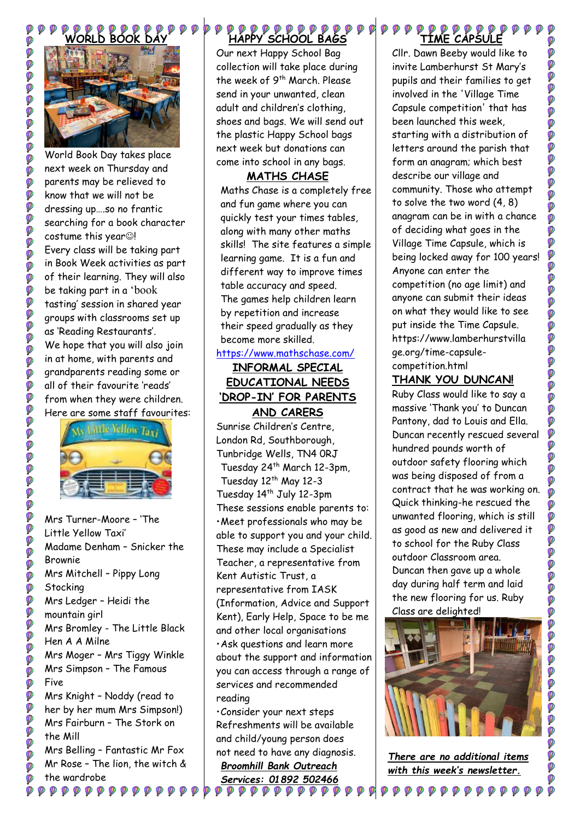

99999999999

i<br>O

Ø

**DO** 

Ø

io<br>P

**DO** Ø

**P** 

.

**DOO** 

D

Ø Ø

Ø

Ø

000

**POP** 

**DOOOO** 

**D** Ø **DO** 

Ø

**DO** Ø i<br>P

Ø

Ø Ø Ø  $\ddot{\bullet}$ Ø Ø

World Book Day takes place next week on Thursday and parents may be relieved to know that we will not be dressing up….so no frantic searching for a book character  $cost$ ume this year $@$ ! Every class will be taking part in Book Week activities as part of their learning. They will also be taking part in a 'book tasting' session in shared year groups with classrooms set up as 'Reading Restaurants'. We hope that you will also join in at home, with parents and grandparents reading some or all of their favourite 'reads' from when they were children. Here are some staff favourites:



Mrs Turner-Moore – 'The Little Yellow Taxi' Madame Denham – Snicker the Brownie Mrs Mitchell – Pippy Long **Stocking** Mrs Ledger – Heidi the mountain girl Mrs Bromley - The Little Black Hen A A Milne Mrs Moger – Mrs Tiggy Winkle Mrs Simpson – The Famous Five Mrs Knight – Noddy (read to her by her mum Mrs Simpson!) Mrs Fairburn – The Stork on the Mill Mrs Belling – Fantastic Mr Fox Mr Rose – The lion, the witch & the wardrobe

# **HAPPY SCHOOL BAGS**

Our next Happy School Bag collection will take place during the week of 9<sup>th</sup> March. Please send in your unwanted, clean adult and children's clothing, shoes and bags. We will send out the plastic Happy School bags next week but donations can come into school in any bags.

## **MATHS CHASE**

Maths Chase is a completely free and fun game where you can quickly test your times tables, along with many other maths skills! The site features a simple learning game. It is a fun and different way to improve times table accuracy and speed. The games help children learn by repetition and increase their speed gradually as they become more skilled.

### <https://www.mathschase.com/>

### **INFORMAL SPECIAL EDUCATIONAL NEEDS 'DROP-IN' FOR PARENTS AND CARERS**

Sunrise Children's Centre, London Rd, Southborough, Tunbridge Wells, TN4 0RJ Tuesday 24<sup>th</sup> March 12-3pm, Tuesday 12<sup>th</sup> May 12-3 Tuesday 14<sup>th</sup> July 12-3pm These sessions enable parents to: •Meet professionals who may be able to support you and your child. These may include a Specialist Teacher, a representative from Kent Autistic Trust, a representative from IASK (Information, Advice and Support Kent), Early Help, Space to be me and other local organisations •Ask questions and learn more about the support and information you can access through a range of services and recommended reading

•Consider your next steps Refreshments will be available and child/young person does not need to have any diagnosis.

*Broomhill Bank Outreach Services: 01892 502466*  $\mathcal{P} \mathcal{P} \mathcal{P} \mathcal{P} \mathcal{P} \mathcal{P} \mathcal{P} \mathcal{P} \mathcal{P}$ 

#### $\begin{array}{ccccc} \mathbf{\varphi} & \mathbf{\varphi} & \mathbf{\varphi} & \mathbf{\varphi} & \mathbf{\varphi} & \mathbf{\varphi} & \mathbf{\varphi} \end{array}$ **TIME CAPSULE**

Cllr. Dawn Beeby would like to invite Lamberhurst St Mary's pupils and their families to get involved in the 'Village Time Capsule competition' that has been launched this week, starting with a distribution of letters around the parish that form an anagram; which best describe our village and community. Those who attempt to solve the two word (4, 8) anagram can be in with a chance of deciding what goes in the Village Time Capsule, which is being locked away for 100 years! Anyone can enter the competition (no age limit) and anyone can submit their ideas on what they would like to see put inside the Time Capsule. https://www.lamberhurstvilla ge.org/time-capsulecompetition.html

## **THANK YOU DUNCAN!**

Ruby Class would like to say a massive 'Thank you' to Duncan Pantony, dad to Louis and Ella. Duncan recently rescued several hundred pounds worth of outdoor safety flooring which was being disposed of from a contract that he was working on. Quick thinking-he rescued the unwanted flooring, which is still as good as new and delivered it to school for the Ruby Class outdoor Classroom area. Duncan then gave up a whole day during half term and laid the new flooring for us. Ruby Class are delighted!



*There are no additional items with this week's newsletter.*